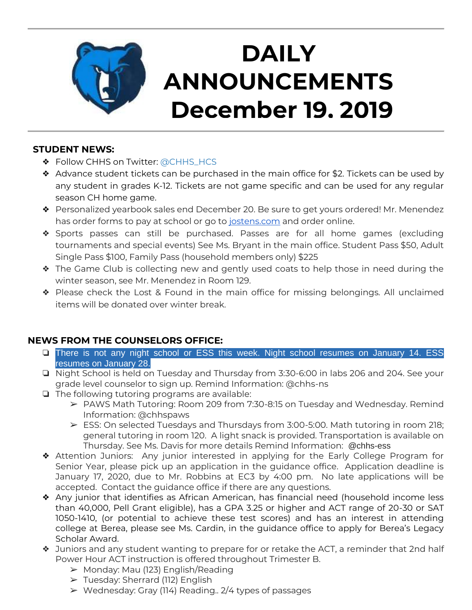

# **DAILY ANNOUNCEMENTS December 19, 2019**

## **STUDENT NEWS:**

- ❖ Follow CHHS on Twitter: [@CHHS\\_HCS](https://twitter.com/CHHS_HCS)
- ❖ Advance student tickets can be purchased in the main office for \$2. Tickets can be used by any student in grades K-12. Tickets are not game specific and can be used for any regular season CH home game.
- ❖ Personalized yearbook sales end December 20. Be sure to get yours ordered! Mr. Menendez has order forms to pay at school or go to [jostens.com](http://jostens.com/) and order online.
- ❖ Sports passes can still be purchased. Passes are for all home games (excluding tournaments and special events) See Ms. Bryant in the main office. Student Pass \$50, Adult Single Pass \$100, Family Pass (household members only) \$225
- ❖ The Game Club is collecting new and gently used coats to help those in need during the winter season, see Mr. Menendez in Room 129.
- ❖ Please check the Lost & Found in the main office for missing belongings. All unclaimed items will be donated over winter break.

# **NEWS FROM THE COUNSELORS OFFICE:**

- ❏ There is not any night school or ESS this week. Night school resumes on January 14. ESS resumes on January 28.
- ❏ Night School is held on Tuesday and Thursday from 3:30-6:00 in labs 206 and 204. See your grade level counselor to sign up. Remind Information: @chhs-ns
- ❏ The following tutoring programs are available:
	- ➢ PAWS Math Tutoring: Room 209 from 7:30-8:15 on Tuesday and Wednesday. Remind Information: @chhspaws
	- $\triangleright$  ESS: On selected Tuesdays and Thursdays from 3:00-5:00. Math tutoring in room 218; general tutoring in room 120. A light snack is provided. Transportation is available on Thursday. See Ms. Davis for more details Remind Information: @chhs-ess
- ❖ Attention Juniors: Any junior interested in applying for the Early College Program for Senior Year, please pick up an application in the guidance office. Application deadline is January 17, 2020, due to Mr. Robbins at EC3 by 4:00 pm. No late applications will be accepted. Contact the guidance office if there are any questions.
- ❖ Any junior that identifies as African American, has financial need (household income less than 40,000, Pell Grant eligible), has a GPA 3.25 or higher and ACT range of 20-30 or SAT 1050-1410, (or potential to achieve these test scores) and has an interest in attending college at Berea, please see Ms. Cardin, in the guidance office to apply for Berea's Legacy Scholar Award.
- ❖ Juniors and any student wanting to prepare for or retake the ACT, a reminder that 2nd half Power Hour ACT instruction is offered throughout Trimester B.
	- ➢ Monday: Mau (123) English/Reading
	- ➢ Tuesday: Sherrard (112) English
	- $\triangleright$  Wednesday: Gray (114) Reading.. 2/4 types of passages